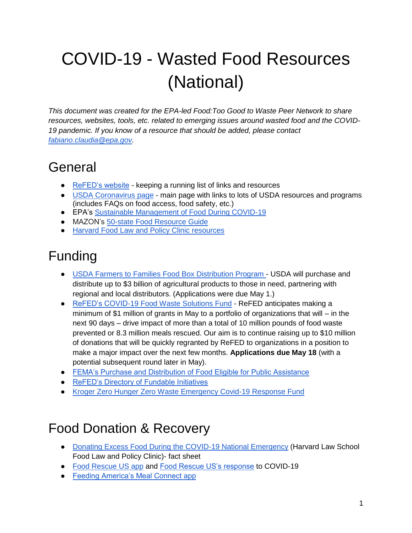# COVID-19 - Wasted Food Resources (National)

*This document was created for the EPA-led Food:Too Good to Waste Peer Network to share resources, websites, tools, etc. related to emerging issues around wasted food and the COVID-19 pandemic. If you know of a resource that should be added, please contact [fabiano.claudia@epa.gov.](mailto:fabiano.claudia@epa.gov)* 

### General

- [ReFED's website](https://www.refed.com/content-hub/food-waste-resources-during-the-covid-19-pandemic/) keeping a running list of links and resources
- [USDA Coronavirus page](https://www.usda.gov/coronavirus) main page with links to lots of USDA resources and programs (includes FAQs on food access, food safety, etc.)
- EPA's [Sustainable Management of Food During COVID-19](https://www.epa.gov/coronavirus/recycling-and-sustainable-management-food-during-coronavirus-covid-19-public-health#02)
- MAZON's [50-state Food Resource Guide](https://mazon.org/inside-mazon/charitable-food-resource-guide-during-covid-19)
- [Harvard Food Law and Policy Clinic resources](https://www.chlpi.org/food-law-and-policy/covid-19-response/)

# Funding

- [USDA Farmers to Families Food Box Distribution Program -](https://www.ams.usda.gov/content/usda-purchase-3-billion-agricultural-commodities-issue-solicitations-interested-participants) USDA will purchase and distribute up to \$3 billion of agricultural products to those in need, partnering with regional and local distributors. (Applications were due May 1.)
- [ReFED's COVID-19 Food Waste Solutions Fund](https://www.refed.com/covidsolutionsfund?mc_cid=51dc72c8f7&mc_eid=478f27f067) ReFED anticipates making a minimum of \$1 million of grants in May to a portfolio of organizations that will – in the next 90 days – drive impact of more than a total of 10 million pounds of food waste prevented or 8.3 million meals rescued. Our aim is to continue raising up to \$10 million of donations that will be quickly regranted by ReFED to organizations in a position to make a major impact over the next few months. **Applications due May 18** (with a potential subsequent round later in May).
- [FEMA's Purchase and Distribution of Food Eligible for Public Assistance](https://www.fema.gov/news-release/2020/04/12/coronavirus-covid-19-pandemic-purchase-and-distribution-food-eligible-public)
- [ReFED's Directory of Fundable Initiatives](https://www.refed.com/content-hub/directory-of-fundable-initiatives/)
- [Kroger Zero Hunger Zero Waste Emergency Covid-19 Response Fund](http://ir.kroger.com/file/Index?KeyFile=403663955)

### Food Donation & Recovery

- [Donating Excess Food During the COVID-19 National Emergency](https://www.chlpi.org/wp-content/uploads/2013/12/handout-vFINAL.pdf) (Harvard Law School Food Law and Policy Clinic)- fact sheet
- [Food Rescue US app](https://foodrescue.us/) and [Food Rescue US's response](https://foodrescue.us/food-rescue-us-announces-covid-19/) to COVID-19
- Feeding America's Meal Connect app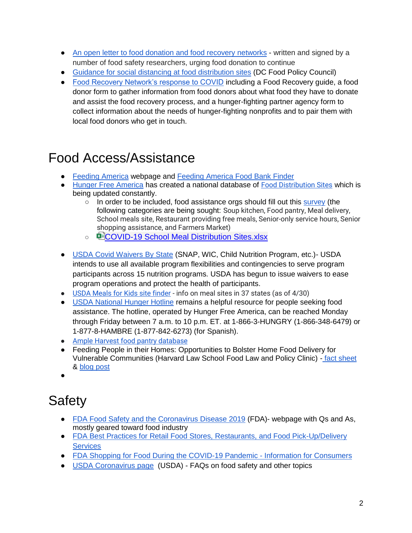- [An open letter to food donation and food recovery](https://foodsafety.ces.ncsu.edu/wp-content/uploads/2020/03/Open-letter-COVID-19-food-banks-3-17-20.pdf?fwd=no) networks written and signed by a number of food safety researchers, urging food donation to continue
- [Guidance for social distancing at food distribution sites](https://docs.google.com/presentation/d/185QcIY0_y5ynmJHVFTi21UC7irhtFNzMMKC3oW_lepI/edit#slide=id.p) (DC Food Policy Council)
- [Food Recovery Network's response to COVID](https://foodrecoverynetwork.org/frv) including a Food Recovery quide, a food donor form to gather information from food donors about what food they have to donate and assist the food recovery process, and a hunger-fighting partner agency form to collect information about the needs of hunger-fighting nonprofits and to pair them with local food donors who get in touch.

# Food Access/Assistance

- [Feeding America](https://www.feedingamerica.org/take-action/coronavirus?s_onsite_promo=lightbox&s_src=W203REFER&s_referrer=https%3A%2F%2Fsecure.feedingamerica.org%2Fsite%2FDonation2%3Fdf_id%3D28150%26mfc_pref%3DT%2628150.donation%3Dform1%26s_src%3DY20XP1B1Y%26s_subsrc%3Dc%26s_keyword%3Dfeeding%2520america%26%26gclid%3DCjwKCAjwsMzzBRACEiwAx4lLG5JcOYiCoi_slXwT8Qj5Q0rVv_1P224P2tBdjrheub5K3ihzKQaV4hoCZzAQAvD_BwE&s_channel=https%3A%2F%2Fsecure.feedingamerica.org%2Fsite%2FDonation2%3Fdf_id%3D28150%26mfc_pref%3DT%2628150.donation%3Dform1%26s_src%3DY20XP1B1Y%26s_subsrc%3Dc%26s_keyword%3Dfeeding%2520america%26%26gclid%3DCjwKCAjwsMzzBRACEiwAx4lLG5JcOYiCoi_slXwT8Qj5Q0rVv_1P224P2tBdjrheub5K3ihzKQaV4hoCZzAQAvD_BwE&s_subsrc=https%3A%2F%2Fwww.feedingamerica.org%2F%3F_ga%3D2.232057695.138420339.1584653310-1874979846.1571679334%26_gac%3D1.117509883.1584653310.CjwKCAjwsMzzBRACEiwAx4lLG5JcOYiCoi_slXwT8Qj5Q0rVv_1P224P2tBdjrheub5K3ihzKQaV4hoCZzAQAvD_BwE) webpage and [Feeding America Food Bank Finder](https://www.feedingamerica.org/find-your-local-foodbank)
- [Hunger Free America](https://www.hungerfreeamerica.org/coronavirus-response-outreach-and-relief) has created a national database of [Food Distribution Sites](https://docs.google.com/spreadsheets/d/e/2PACX-1vRkAgnh5TxpnDw_bGGlY11EkvlzlPVscsSZxZ6DYgYx4YfEDHGBj0EoEhNu6phcOLXciiaHUbPAs-e0/pubhtml) which is being updated constantly.
	- In order to be included, food assistance orgs should fill out this [survey](https://docs.google.com/forms/d/e/1FAIpQLSdnP50t26GWsseob1Uef8zvcYZNsVkZntCXuY7qL9VrRao1Gw/viewform?mc_cid=8d83b1ad20&mc_eid=%5bUNIQID%5d) (the following categories are being sought: Soup kitchen, Food pantry, Meal delivery, School meals site, Restaurant providing free meals, Senior-only service hours, Senior shopping assistance, and Farmers Market)
	- 中心[COVID-19 School Meal Distribution Sites.xlsx](https://gcc01.safelinks.protection.outlook.com/ap/x-59584e83/?url=https%3A%2F%2Fnyccah-my.sharepoint.com%2F%3Ax%3A%2Fg%2Fpersonal%2Ftmizhquiri_hungerfreeamerica_org%2FEYbSr_fCWTJLgqO8V0CNcWsBX0kmKQ13xIpeWq8pSfxHZg%3Fe%3DGimcgN&data=02%7C01%7CFabiano.Claudia%40epa.gov%7C613be0e35ae14770064508d7d4f73dd8%7C88b378b367484867acf976aacbeca6a7%7C0%7C0%7C637212030732912899&sdata=oZMkwfGB%2FHrq3QkchfJ2aGJZ%2B7qTIisVM3LHHzwC36Y%3D&reserved=0)
- [USDA Covid Waivers By State](https://www.fns.usda.gov/disaster/pandemic/covid-19/snap-waivers-flexibilities) (SNAP, WIC, Child Nutrition Program, etc.)- USDA intends to use all available program flexibilities and contingencies to serve program participants across 15 nutrition programs. USDA has begun to issue waivers to ease program operations and protect the health of participants.
- [USDA Meals for Kids site finder](https://www.fns.usda.gov/meals4kids) info on meal sites in 37 states (as of 4/30)
- [USDA National Hunger Hotline](https://www.hungerfreeamerica.org/about/our-work/usda-national-hunger-hotline) remains a helpful resource for people seeking food assistance. The hotline, operated by Hunger Free America, can be reached Monday through Friday between 7 a.m. to 10 p.m. ET. at 1-866-3-HUNGRY (1-866-348-6479) or 1-877-8-HAMBRE (1-877-842-6273) (for Spanish).
- [Ample Harvest food pantry database](https://ampleharvest.org/food-pantries/)
- Feeding People in their Homes: Opportunities to Bolster Home Food Delivery for Vulnerable Communities (Harvard Law School Food Law and Policy Clinic) - [fact sheet](https://www.chlpi.org/wp-content/uploads/2013/12/Home-Delivery-Issue-Brief-Final.pdf) & [blog post](https://www.chlpi.org/feeding-people-in-their-homes-opportunities-to-bolster-home-food-delivery-for-vulnerable-communities/)
- ●

# <span id="page-1-0"></span>**Safety**

- [FDA Food Safety and the Coronavirus Disease 2019](https://www.fda.gov/food/food-safety-during-emergencies/food-safety-and-coronavirus-disease-2019-covid-19) (FDA)- webpage with Qs and As, mostly geared toward food industry
- FDA Best Practices for Retail Food Stores, Restaurants, and Food Pick-Up/Delivery **[Services](https://www.fda.gov/food/food-safety-during-emergencies/best-practices-retail-food-stores-restaurants-and-food-pick-updelivery-services-during-covid-19)**
- [FDA Shopping for Food During the COVID-19 Pandemic -](https://www.fda.gov/food/food-safety-during-emergencies/shopping-food-during-covid-19-pandemic-information-consumers) Information for Consumers
- [USDA Coronavirus page](https://www.usda.gov/coronavirus) (USDA) FAQs on food safety and other topics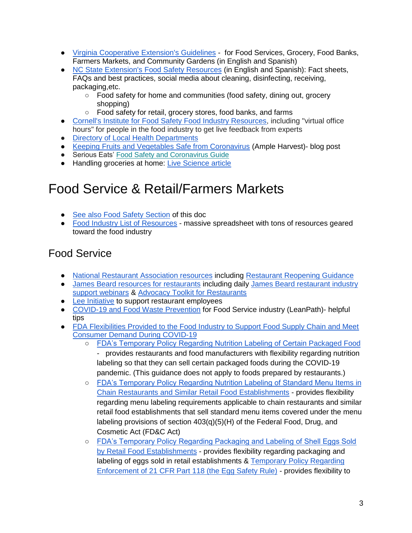- [Virginia Cooperative Extension's Guidelines](https://ext.vt.edu/covid-19updates/resources.html) for Food Services, Grocery, Food Banks, Farmers Markets, and Community Gardens (in English and Spanish)
- [NC State Extension's Food Safety Resources](https://foodsafety.ces.ncsu.edu/covid-19-resources/) (in English and Spanish): Fact sheets, FAQs and best practices, social media about cleaning, disinfecting, receiving, packaging,etc.
	- Food safety for home and communities (food safety, dining out, grocery shopping)
	- Food safety for retail, grocery stores, food banks, and farms
- [Cornell's Institute for Food Safety Food Industry Resources,](https://instituteforfoodsafety.cornell.edu/coronavirus-covid-19/food-industry-resources/) including "virtual office hours" for people in the food industry to get live feedback from experts
- [Directory of Local Health Departments](https://www.naccho.org/membership/lhd-directory)
- [Keeping Fruits and Vegetables Safe from Coronavirus](https://ampleharvest.org/keeping-fruits-and-vegetables-safe-from-coronavirus/) (Ample Harvest)- blog post
- Serious Eats' [Food Safety and Coronavirus Guide](https://gcc01.safelinks.protection.outlook.com/?url=https%3A%2F%2Fnrdc.us19.list-manage.com%2Ftrack%2Fclick%3Fu%3D6c956b8ff6b52f11640486fa1%26id%3D764a99edd7%26e%3D4730db1bc3&data=02%7C01%7CFabiano.Claudia%40epa.gov%7C4970d459fd6646012bd508d7d740f491%7C88b378b367484867acf976aacbeca6a7%7C0%7C0%7C637214546288010348&sdata=tmyskrckvsCJE3t883hKK0gNT3BkA4SlgkL9sTjqTmU%3D&reserved=0)
- Handling groceries at home: [Live Science article](https://www.livescience.com/do-not-wash-fruits-vegetables-with-soap.html)

### Food Service & Retail/Farmers Markets

- [See also Food Safety Section](#page-1-0) of this doc
- [Food Industry List of Resources](https://docs.google.com/spreadsheets/d/1THbhnEDbgkrmyT-ofaqC9v8inBgBPhT-ofe7DUb3vg8/edit#gid=0) massive spreadsheet with tons of resources geared toward the food industry

#### Food Service

- [National Restaurant Association resources](https://restaurant.org/Covid19) including [Restaurant Reopening Guidance](https://restaurant.org/Downloads/PDFs/business/COVID19-Reopen-Guidance.pdf)
- [James Beard resources for restaurants](https://www.jamesbeard.org/blog/how-the-restaurant-industry-is-responding-to-covid-19) including daily [James Beard restaurant industry](https://www.jamesbeard.org/industry-support-webinars)  [support webinars](https://www.jamesbeard.org/industry-support-webinars) & [Advocacy Toolkit for Restaurants](https://drive.google.com/drive/folders/1_lW7kEL_JVhIqI-LyGndadypguM0G_wa)
- [Lee Initiative](https://leeinitiative.org/) to support restaurant employees
- [COVID-19 and Food Waste Prevention](https://blog.leanpath.com/covid-19-and-food-waste-prevention?utm_source=hs_email&utm_medium=email&utm_content=85039158&_hsenc=p2ANqtz-8AyD1W69tX6OJX6S9fI28xTGs5SFUCMmXahcwclGm-2OhNuJg3CY4l0MUOlR3ozEZQJ8hpinFrse-AEdy3aOHYAgKgOQ&_hsmi=85039158) for Food Service industry (LeanPath)- helpful tips
- FDA Flexibilities Provided to the Food Industry to Support Food Supply Chain and Meet [Consumer Demand During COVID-19](https://www.fda.gov/news-events/fda-voices/fda-provides-flexibility-food-industry-support-food-supply-chain-and-meet-consumer-demand-during)
	- [FDA's Temporary Policy Regarding Nutrition Labeling of Certain Packaged Food](https://www.fda.gov/regulatory-information/search-fda-guidance-documents/temporary-policy-regarding-nutrition-labeling-certain-packaged-food-during-covid-19-public-health?utm_campaign=3-27-2020-FactSheet&utm_medium=email&utm_source=Eloqua) - provides restaurants and food manufacturers with flexibility regarding nutrition labeling so that they can sell certain packaged foods during the COVID-19 pandemic. (This guidance does not apply to foods prepared by restaurants.)
	- FDA's Temporary Policy Regarding Nutrition Labeling of Standard Menu Items in [Chain Restaurants and Similar Retail Food Establishments](https://www.fda.gov/regulatory-information/search-fda-guidance-documents/temporary-policy-regarding-nutrition-labeling-standard-menu-items-chain-restaurants-and-similar) - provides flexibility regarding menu labeling requirements applicable to chain restaurants and similar retail food establishments that sell standard menu items covered under the menu labeling provisions of section 403(q)(5)(H) of the Federal Food, Drug, and Cosmetic Act (FD&C Act)
	- [FDA's Temporary Policy Regarding Packaging and Labeling of Shell Eggs Sold](https://www.fda.gov/regulatory-information/search-fda-guidance-documents/temporary-policy-regarding-packaging-and-labeling-shell-eggs-sold-retail-food-establishments-during)  [by Retail Food Establishments](https://www.fda.gov/regulatory-information/search-fda-guidance-documents/temporary-policy-regarding-packaging-and-labeling-shell-eggs-sold-retail-food-establishments-during) - provides flexibility regarding packaging and labeling of eggs sold in retail establishments & Temporary Policy Regarding [Enforcement of 21 CFR Part 118 \(the Egg Safety Rule\)](https://www.fda.gov/regulatory-information/search-fda-guidance-documents/temporary-policy-regarding-enforcement-21-cfr-part-118-egg-safety-rule-during-covid-19-public-health) - provides flexibility to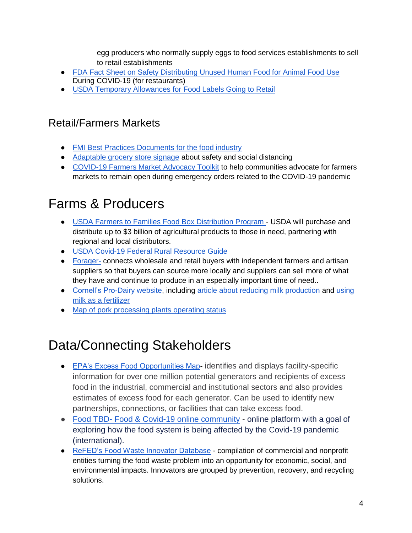egg producers who normally supply eggs to food services establishments to sell to retail establishments

- [FDA Fact Sheet on Safety Distributing Unused Human Food for Animal Food Use](https://www.fda.gov/media/136521/download?utm_campaign=3-27-2020-FactSheet&utm_medium=email&utm_source=Eloqua) During COVID-19 (for restaurants)
- [USDA Temporary Allowances for Food Labels Going to Retail](https://www.fsis.usda.gov/wps/portal/fsis/newsroom/meetings/newsletters/constituent-updates/archive/2020/SpecialAlert032320)

#### Retail/Farmers Markets

- [FMI Best Practices Documents for the food industry](https://www.fmi.org/food-safety/coronavirus)
- [Adaptable grocery store signage](https://www.publicalerts.org/covid-19) about safety and social distancing
- [COVID-19 Farmers Market Advocacy Toolkit](https://gcc01.safelinks.protection.outlook.com/?url=https%3A%2F%2Fdocs.google.com%2Fdocument%2Fd%2F1lV34JQ58fhtwioBYJ9TJx7MvrO6t8a39homfEYYYFh0%2Fedit%23heading%3Dh.xkl8b914lz47&data=02%7C01%7CFabiano.Claudia%40epa.gov%7C4ddd96f4730d4d00910508d7db31602e%7C88b378b367484867acf976aacbeca6a7%7C0%7C0%7C637218877549180062&sdata=zGe0VOkqltBkwARQl7FmSLiKyhP4KapXfNUxalEJd5o%3D&reserved=0) to help communities advocate for farmers markets to remain open during emergency orders related to the COVID-19 pandemic

# Farms & Producers

- [USDA Farmers to Families Food Box Distribution Program -](https://www.ams.usda.gov/content/usda-purchase-3-billion-agricultural-commodities-issue-solicitations-interested-participants) USDA will purchase and distribute up to \$3 billion of agricultural products to those in need, partnering with regional and local distributors.
- [USDA Covid-19 Federal Rural Resource Guide](https://www.rd.usda.gov/sites/default/files/USDA_COVID-19_Fed_Rural_Resource_Guide.pdf)
- [Forager-](https://goforager.com/covid19-strategy) connects wholesale and retail buyers with independent farmers and artisan suppliers so that buyers can source more locally and suppliers can sell more of what they have and continue to produce in an especially important time of need..
- [Cornell's Pro-Dairy website,](https://gcc01.safelinks.protection.outlook.com/?url=https%3A%2F%2Fprodairy.cals.cornell.edu%2F&data=02%7C01%7CFabiano.Claudia%40epa.gov%7C98d0d129d0504b087d0608d7dfb158d3%7C88b378b367484867acf976aacbeca6a7%7C0%7C0%7C637223825106282643&sdata=mhwwD%2FJqtG%2FzXAyHUItDe5L8DOtx0NxwwuLFTRVZmkE%3D&reserved=0) includin[g](https://gcc01.safelinks.protection.outlook.com/?url=https%3A%2F%2Fprodairy.cals.cornell.edu%2Fsites%2Fprodairy.cals.cornell.edu%2Ffiles%2Fshared%2Fdocuments%2FDiet%2520and%2520management%2520considerations%2520for%2520emergencies.pdf&data=02%7C01%7CFabiano.Claudia%40epa.gov%7C98d0d129d0504b087d0608d7dfb158d3%7C88b378b367484867acf976aacbeca6a7%7C0%7C0%7C637223825106292603&sdata=3st7syypDuCoyBSyQIGKRl6NyqRkOUwmvbizmW8irBM%3D&reserved=0) [article about reducing milk production](https://gcc01.safelinks.protection.outlook.com/?url=https%3A%2F%2Fprodairy.cals.cornell.edu%2Fsites%2Fprodairy.cals.cornell.edu%2Ffiles%2Fshared%2Fdocuments%2FDiet%2520and%2520management%2520considerations%2520for%2520emergencies.pdf&data=02%7C01%7CFabiano.Claudia%40epa.gov%7C98d0d129d0504b087d0608d7dfb158d3%7C88b378b367484867acf976aacbeca6a7%7C0%7C0%7C637223825106292603&sdata=3st7syypDuCoyBSyQIGKRl6NyqRkOUwmvbizmW8irBM%3D&reserved=0) an[d](https://gcc01.safelinks.protection.outlook.com/?url=https%3A%2F%2Fwww.cvent.com%2Fpub%2FeMarketing%2FPages%2FWebEmail_New.aspx%3Femstub%3D20d2fd16-7158-45fe-8487-e02bbd059c56&data=02%7C01%7CFabiano.Claudia%40epa.gov%7C98d0d129d0504b087d0608d7dfb158d3%7C88b378b367484867acf976aacbeca6a7%7C0%7C0%7C637223825106292603&sdata=GeASwsLhcJsCEmJIAmSLDnEqOiu11vq75p27N0mCdVg%3D&reserved=0) using [milk as a fertilizer](https://gcc01.safelinks.protection.outlook.com/?url=https%3A%2F%2Fwww.cvent.com%2Fpub%2FeMarketing%2FPages%2FWebEmail_New.aspx%3Femstub%3D20d2fd16-7158-45fe-8487-e02bbd059c56&data=02%7C01%7CFabiano.Claudia%40epa.gov%7C98d0d129d0504b087d0608d7dfb158d3%7C88b378b367484867acf976aacbeca6a7%7C0%7C0%7C637223825106292603&sdata=GeASwsLhcJsCEmJIAmSLDnEqOiu11vq75p27N0mCdVg%3D&reserved=0)
- [Map of pork processing plants operating status](https://story.mapme.com/us-pork-packers/)

### Data/Connecting Stakeholders

- [EPA's Excess Food Opportunities Map-](http://epa.gov/foodmap) identifies and displays facility-specific information for over one million potential generators and recipients of excess food in the industrial, commercial and institutional sectors and also provides estimates of excess food for each generator. Can be used to identify new partnerships, connections, or facilities that can take excess food.
- Food TBD- [Food & Covid-19 online community](https://gcc01.safelinks.protection.outlook.com/?url=https%3A%2F%2Flexiconofsustainability.us2.list-manage.com%2Ftrack%2Fclick%3Fu%3D32cf26a978e6a47a222bc0a33%26id%3D41069b628e%26e%3Dcb13aeb021&data=02%7C01%7CFabiano.Claudia%40epa.gov%7C661793b631c546566e4608d7e6edeef6%7C88b378b367484867acf976aacbeca6a7%7C0%7C0%7C637231781896914945&sdata=HnMktjwOckjSyjTvSlW5NKcnFUhn%2FxluQRtGQkXKjks%3D&reserved=0) online platform with a goal of exploring how the food system is being affected by the Covid-19 pandemic (international).
- [ReFED's Food Waste Innovator Database](https://www.refed.com/tools/innovator-database/) compilation of commercial and nonprofit entities turning the food waste problem into an opportunity for economic, social, and environmental impacts. Innovators are grouped by prevention, recovery, and recycling solutions.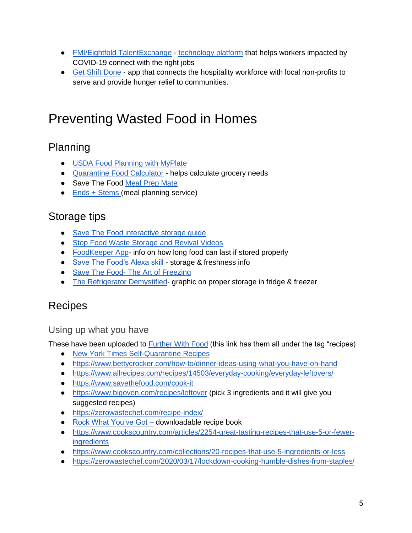- [FMI/Eightfold TalentExchange](https://www.fmi.org/docs/default-source/coronavirus/talent-exchange-intro-doc-vf.pdf?sfvrsn=7cee0b3c_0&mc_cid=6ccdc4fdf0&mc_eid=7cffe9e0e2) [technology platform](https://eightfold.ai/talent-exchange/) that helps workers impacted by COVID-19 connect with the right jobs
- [Get Shift Done](https://www.getshiftdone.org/) app that connects the hospitality workforce with local non-profits to serve and provide hunger relief to communities.

# Preventing Wasted Food in Homes

#### Planning

- [USDA Food Planning with MyPlate](https://www.choosemyplate.gov/coronavirus)
- [Quarantine Food Calculator](https://www.omnicalculator.com/food/quarantine-food) helps calculate grocery needs
- Save The Food [Meal Prep Mate](https://savethefood.com/meal-prep-mate/)
- [Ends + Stems \(](https://endsandstems.com/)meal planning service)

#### Storage tips

- [Save The Food interactive storage guide](https://savethefood.com/storage)
- [Stop Food Waste Storage and Revival Videos](http://stopfoodwaste.org/videos)
- [FoodKeeper App-](https://www.foodsafety.gov/keep/foodkeeperapp/index.html) info on how long food can last if stored properly
- [Save The Food's Alexa skill](https://www.amazon.com/NRDC-and-Ad-Council-Save/dp/B071RRCC8J) storage & freshness info
- Save The Food- [The Art of Freezing](https://savethefood.com/articles/the-art-of-freezing)
- [The Refrigerator Demystified-](https://furtherwithfood.org/resources/the-refrigerator-demystified/) graphic on proper storage in fridge & freezer

#### Recipes

#### Using up what you have

These have been uploaded to [Further With Food](https://furtherwithfood.org/resources/?fwp_resource_tags=recipes) (this link has them all under the tag "recipes)

- [New York Times Self-Quarantine Recipes](https://cooking.nytimes.com/topics/self-quarantine-recipes)
- <https://www.bettycrocker.com/how-to/dinner-ideas-using-what-you-have-on-hand>
- <https://www.allrecipes.com/recipes/14503/everyday-cooking/everyday-leftovers/>
- <https://www.savethefood.com/cook-it>
- <https://www.bigoven.com/recipes/leftover> (pick 3 ingredients and it will give you suggested recipes)
- <https://zerowastechef.com/recipe-index/>
- [Rock What You've Got](https://guelphfamilyhealthstudy.com/2019/09/19/rock-what-youve-got-recipes-for-reducing-food-waste/) [–](https://guelphfamilyhealthstudy.com/2019/09/19/rock-what-youve-got-recipes-for-reducing-food-waste/) downloadable recipe book
- [https://www.cookscountry.com/articles/2254-great-tasting-recipes-that-use-5-or-fewer](https://www.cookscountry.com/articles/2254-great-tasting-recipes-that-use-5-or-fewer-ingredients)[ingredients](https://www.cookscountry.com/articles/2254-great-tasting-recipes-that-use-5-or-fewer-ingredients)
- <https://www.cookscountry.com/collections/20-recipes-that-use-5-ingredients-or-less>
- <https://zerowastechef.com/2020/03/17/lockdown-cooking-humble-dishes-from-staples/>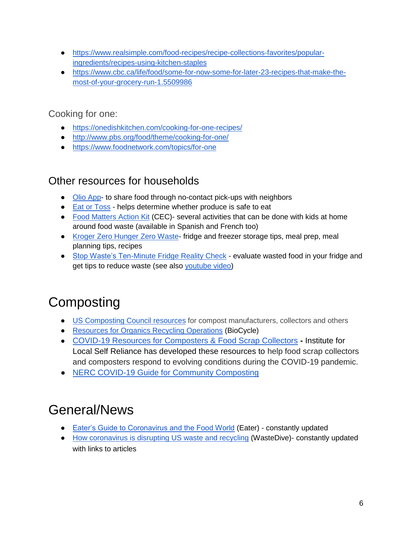- [https://www.realsimple.com/food-recipes/recipe-collections-favorites/popular](https://www.realsimple.com/food-recipes/recipe-collections-favorites/popular-ingredients/recipes-using-kitchen-staples)[ingredients/recipes-using-kitchen-staples](https://www.realsimple.com/food-recipes/recipe-collections-favorites/popular-ingredients/recipes-using-kitchen-staples)
- [https://www.cbc.ca/life/food/some-for-now-some-for-later-23-recipes-that-make-the](https://www.cbc.ca/life/food/some-for-now-some-for-later-23-recipes-that-make-the-most-of-your-grocery-run-1.5509986)[most-of-your-grocery-run-1.5509986](https://www.cbc.ca/life/food/some-for-now-some-for-later-23-recipes-that-make-the-most-of-your-grocery-run-1.5509986)

#### Cooking for one[:](https://onedishkitchen.com/cooking-for-one-recipes/)

- <https://onedishkitchen.com/cooking-for-one-recipes/>
- <http://www.pbs.org/food/theme/cooking-for-one/>
- <https://www.foodnetwork.com/topics/for-one>

#### Other resources for households

- [Olio App-](https://olioex.com/) to share food through no-contact pick-ups with neighbors
- [Eat or Toss](https://www.eatortoss.com/) helps determine whether produce is safe to eat
- [Food Matters Action Kit](http://www3.cec.org/flwy/) (CEC)- several activities that can be done with kids at home around food waste (available in Spanish and French too)
- [Kroger Zero Hunger Zero Waste-](https://www.kroger.com/f/zero-hunger-zero-waste) fridge and freezer storage tips, meal prep, meal planning tips, recipes
- [Stop Waste's Ten-Minute Fridge Reality Check](http://www.stopwaste.org/resource/10-minute-fridge-reality-check) evaluate wasted food in your fridge and get tips to reduce waste (see also [youtube video\)](https://www.youtube.com/watch?v=1eILjLxgtHo)

# **Composting**

- [US Composting Council resources](https://www.compostingcouncil.org/page/COVID-19-RESOURCES) for compost manufacturers, collectors and others
- [Resources for Organics Recycling Operations](https://www.biocycle.net/2020/03/24/covid-19-resources-organics-recycling-operations/?utm_source=BioCycle+CONNECT&utm_campaign=fa7c55ebcf-EMAIL_CAMPAIGN_2020_03_20_08_35&utm_medium=email&utm_term=0_8396f01c15-fa7c55ebcf-513815551) (BioCycle)
- [COVID-19 Resources for Composters & Food Scrap Collectors](https://gcc01.safelinks.protection.outlook.com/?url=https%3A%2F%2Filsr.us5.list-manage.com%2Ftrack%2Fclick%3Fu%3Debfe77c732e7192553aef5712%26id%3D35b1adf22c%26e%3Dbc018a9db4&data=02%7C01%7CGoldstein.Elana%40epa.gov%7C77905b3f4eb34c461cd908d7d81bd7e3%7C88b378b367484867acf976aacbeca6a7%7C0%7C0%7C637215486412559811&sdata=muYZLaBTpkUxNmgPNl2pDfwds%2FRNrzNMCxiv5F5si7E%3D&reserved=0) **-** Institute for Local Self Reliance has developed these resources to help food scrap collectors and composters respond to evolving conditions during the COVID-19 pandemic.
- [NERC COVID-19 Guide for Community Composting](https://nerc.org/documents/Organics/COVID-19%20and%20Community%20Composting%20Guidance.pdf)

# General/News

- [Eater's Guide to Coronavirus and the Food World](https://www.eater.com/2020/3/13/21178917/restaurants-covid-19-coronavirus-developments-news) (Eater) constantly updated
- [How coronavirus is disrupting US waste and recycling](https://www.wastedive.com/news/coronavirus-us-waste-recycling-disruption-tracker/574324/) (WasteDive)- constantly updated with links to articles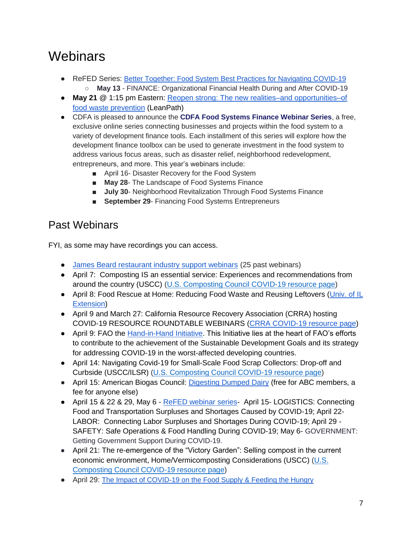# **Webinars**

- ReFED Series: [Better Together: Food System Best Practices for Navigating COVID-19](https://refed.zoom.us/meeting/register/uJErcu6qrTMv7z4vuaZPgm2ELyMJ2oHi4Q?mc_cid=ac07ffe021&mc_eid=6c66f8fdd3) ○ **May 13** - FINANCE: Organizational Financial Health During and After COVID-19
- May 21 **@** 1:15 pm Eastern: Reopen strong: The new realities–and opportunities–of [food waste prevention](https://info.leanpath.com/reopen-strong?utm_campaign=Leanpath%20Public%20Webinars&utm_source=hs_email&utm_medium=email&utm_content=87832682&_hsenc=p2ANqtz--DS9wP-MxCSG8qfmoF4UNk0CVJ84uYv4pk0abpn5RTquNOip2o1_qn3-GsdBgibNgveQYVhkcTLj_QBpzQcHe_AbvO6w&_hsmi=87832682) (LeanPath)
- CDFA is pleased to announce the **[CDFA Food Systems Finance Webinar Series](https://urldefense.proofpoint.com/v2/url?u=https-3A__www.cdfa.net_cdfa_cdfaweb.nsf_0_2F8F3E5385A04751882585360051E022&d=DwMF-g&c=VhZolPcoIcxBQpA0e5_BL66VJfv8ydsVc5_UWeY_GkQ&r=mzZxvBwEtLU_hJYjXNfh8JaFgCw-Sq0TG5xess3SWm8&m=_hYEjkwFK-q-VIMcry_E3tqUJB3OicmqH3mR2OEwHkE&s=fLXE3BR4azag0_gM3kwU9bxte1QvPZ3Clczias8Nl2c&e=)**, a free, exclusive online series connecting businesses and projects within the food system to a variety of development finance tools. Each installment of this series will explore how the development finance toolbox can be used to generate investment in the food system to address various focus areas, such as disaster relief, neighborhood redevelopment, entrepreneurs, and more. This year's webinars include:
	- April 16- Disaster Recovery for the Food System
	- **May 28** The Landscape of Food Systems Finance
	- **July 30** Neighborhood Revitalization Through Food Systems Finance
	- **September 29- Financing Food Systems Entrepreneurs**

#### Past Webinars

FYI, as some may have recordings you can access.

- [James Beard restaurant industry support webinars](https://www.jamesbeard.org/industry-support-webinars) (25 past webinars)
- April 7: Composting IS an essential service: Experiences and recommendations from around the country (USCC) [\(U.S. Composting Council COVID-19 resource page\)](https://gcc01.safelinks.protection.outlook.com/?url=https%3A%2F%2Fwww.compostingcouncil.org%2Fpage%2FCOVID-19-RESOURCES&data=02%7C01%7CFabiano.Claudia%40epa.gov%7Ca6297c6e9df548faad7108d7d4cc4515%7C88b378b367484867acf976aacbeca6a7%7C0%7C0%7C637211846104777425&sdata=bY1cXhz8wspaoNwGjs9lS5dqa6nQVCToOiO%2FmrzUP7Q%3D&reserved=0)
- April 8: Food Rescue at Home: Reducing Food Waste and Reusing Leftovers (Univ. of IL [Extension\)](https://extension.illinois.edu/events/2020-04-08-food-rescue-home-reducing-food-waste-and-reusing-leftovers-webinar)
- April 9 and March 27: California Resource Recovery Association (CRRA) hosting COVID-19 RESOURCE ROUNDTABLE WEBINARS [\(CRRA COVID-19 resource page\)](https://gcc01.safelinks.protection.outlook.com/?url=http%3A%2F%2Fwww.crra.com%2Fcovid-19&data=02%7C01%7CFabiano.Claudia%40epa.gov%7Ca6297c6e9df548faad7108d7d4cc4515%7C88b378b367484867acf976aacbeca6a7%7C0%7C0%7C637211846104792362&sdata=pkABJ7kco1irGgcO3BhhxNyDUVFnAhMTqTEI5NPYuWM%3D&reserved=0)
- April 9: FAO the [Hand-in-Hand Initiative.](https://fao.zoom.us/meeting/register/v5wlcOCoqTwuE1hG_FN1shL-2SCVix_dhg) This Initiative lies at the heart of FAO's efforts to contribute to the achievement of the Sustainable Development Goals and its strategy for addressing COVID-19 in the worst-affected developing countries.
- April 14: Navigating Covid-19 for Small-Scale Food Scrap Collectors: Drop-off and Curbside (USCC/ILSR) [\(U.S. Composting Council COVID-19 resource page\)](https://gcc01.safelinks.protection.outlook.com/?url=https%3A%2F%2Fwww.compostingcouncil.org%2Fpage%2FCOVID-19-RESOURCES&data=02%7C01%7CFabiano.Claudia%40epa.gov%7Ca6297c6e9df548faad7108d7d4cc4515%7C88b378b367484867acf976aacbeca6a7%7C0%7C0%7C637211846104777425&sdata=bY1cXhz8wspaoNwGjs9lS5dqa6nQVCToOiO%2FmrzUP7Q%3D&reserved=0)
- April 15: American Biogas Council: [Digesting Dumped Dairy](https://ttcorp.regfox.com/abc-webinar-digesting-dumped-dairy) (free for ABC members, a fee for anyone else)
- April 15 & 22 & 29, May 6 [ReFED webinar series-](https://www.refed.com/content-hub/better-together-food-system-best-practices-for-navigating-covid-19/?mc_cid=ee092bb544&mc_eid=478f27f067) April 15- LOGISTICS: Connecting Food and Transportation Surpluses and Shortages Caused by COVID-19; April 22- LABOR: Connecting Labor Surpluses and Shortages During COVID-19; April 29 - SAFETY: Safe Operations & Food Handling During COVID-19; May 6- GOVERNMENT: Getting Government Support During COVID-19.
- April 21: The re-emergence of the "Victory Garden": Selling compost in the current economic environment, Home/Vermicomposting Considerations (USCC) [\(U.S.](https://gcc01.safelinks.protection.outlook.com/?url=https%3A%2F%2Fwww.compostingcouncil.org%2Fpage%2FCOVID-19-RESOURCES&data=02%7C01%7CFabiano.Claudia%40epa.gov%7Ca6297c6e9df548faad7108d7d4cc4515%7C88b378b367484867acf976aacbeca6a7%7C0%7C0%7C637211846104777425&sdata=bY1cXhz8wspaoNwGjs9lS5dqa6nQVCToOiO%2FmrzUP7Q%3D&reserved=0)  [Composting Council COVID-19 resource page\)](https://gcc01.safelinks.protection.outlook.com/?url=https%3A%2F%2Fwww.compostingcouncil.org%2Fpage%2FCOVID-19-RESOURCES&data=02%7C01%7CFabiano.Claudia%40epa.gov%7Ca6297c6e9df548faad7108d7d4cc4515%7C88b378b367484867acf976aacbeca6a7%7C0%7C0%7C637211846104777425&sdata=bY1cXhz8wspaoNwGjs9lS5dqa6nQVCToOiO%2FmrzUP7Q%3D&reserved=0)
- April 29: [The Impact of COVID-19 on the Food Supply & Feeding the Hungry](https://event.on24.com/eventRegistration/EventLobbyServlet?target=reg20.jsp&utm_campaign=WST00WAT_WEBINARFOODWASTECOVID2_KB_04132020&utm_emailname=WST00WAT_FOODWASTECOVIDWEBINAR_KB_04132020&utm_medium=email&utm_source=Eloqua&utm_MDMContactID=0fdbef63-541a-4b43-be0f-f29ce9253663&utm_campaigntype=Visitor+Promotion&utm_sub=Webinar%3A+The+Impact+of+COVID-19+and+the+food+supply&eM=8a4db2dc84b463a88de983461a7c299a1b41ca0d3056eb8f19c73ad4037fe89e&eventSeriesCode=ES_WASTE36&eventEditionCode=WST00WAT&sessionCode=NULL&partnerref=WasteEvite1&elqTrackId=16e1bddbe1564509899f721a747b6517&elq=6b58a0402bcb4bfc91818cca7a7cf5e6&elqaid=35748&elqat=1&elqCampaignId=20552&eventid=2280362&sessionid=1&key=F7AD1628F6832DDD2C679D74DABAE621®Tag=&sourcepage=register)